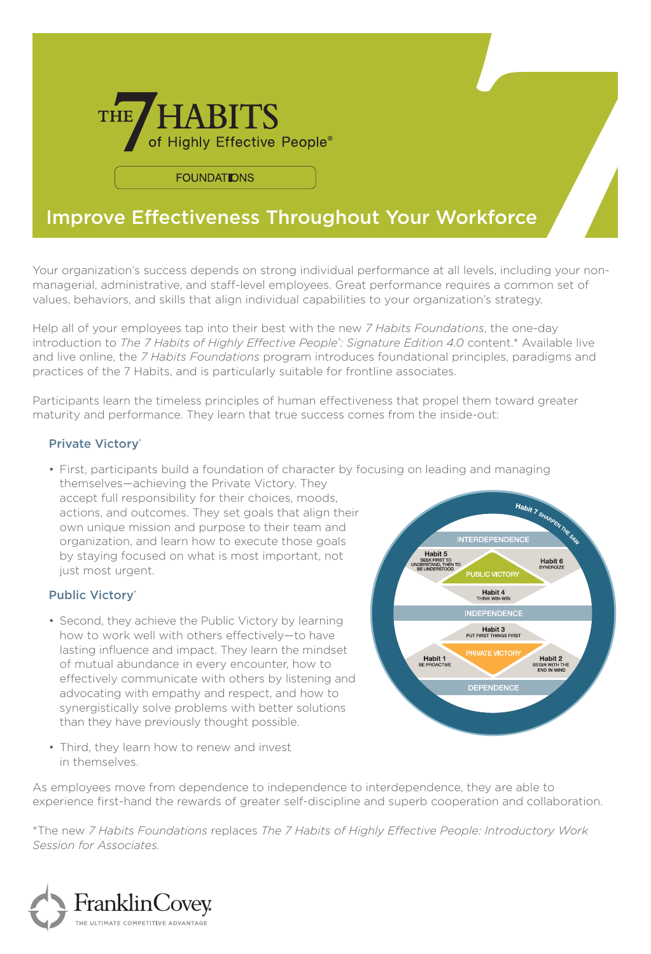

**FOUNDATIONS** 

## Improve Effectiveness Throughout Your Workforce

Your organization's success depends on strong individual performance at all levels, including your nonmanagerial, administrative, and staff-level employees. Great performance requires a common set of values, behaviors, and skills that align individual capabilities to your organization's strategy.

Help all of your employees tap into their best with the new *7 Habits Foundations*, the one-day introduction to *The 7 Habits of Highly Effective People: Signature Edition 4.0 content.\* Available live* and live online, the *7 Habits Foundations* program introduces foundational principles, paradigms and practices of the 7 Habits, and is particularly suitable for frontline associates.

Participants learn the timeless principles of human effectiveness that propel them toward greater maturity and performance. They learn that true success comes from the inside-out:

## Private Victory®

• First, participants build a foundation of character by focusing on leading and managing themselves—achieving the Private Victory. They

accept full responsibility for their choices, moods, actions, and outcomes. They set goals that align their own unique mission and purpose to their team and organization, and learn how to execute those goals by staying focused on what is most important, not just most urgent.

## Public Victory®

• Second, they achieve the Public Victory by learning how to work well with others effectively—to have lasting influence and impact. They learn the mindset of mutual abundance in every encounter, how to effectively communicate with others by listening and advocating with empathy and respect, and how to synergistically solve problems with better solutions than they have previously thought possible.



• Third, they learn how to renew and invest in themselves.

As employees move from dependence to independence to interdependence, they are able to experience first-hand the rewards of greater self-discipline and superb cooperation and collaboration.

\*The new *7 Habits Foundations* replaces *The 7 Habits of Highly Effective People: Introductory Work Session for Associates.*